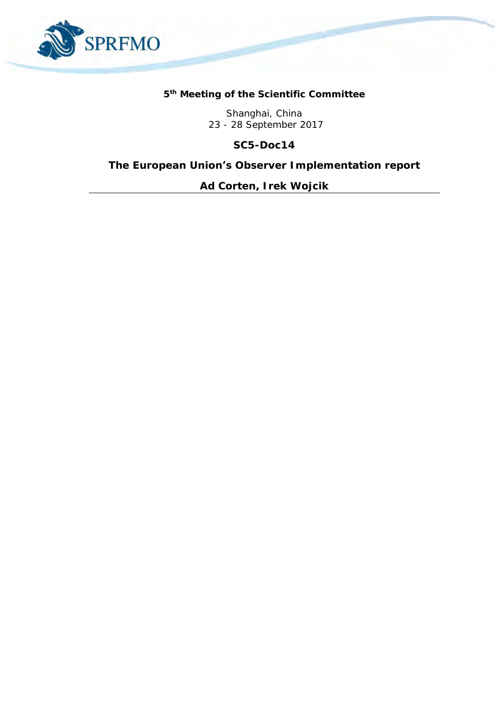

# **5 th Meeting of the Scientific Committee**

Shanghai, China 23 - 28 September 2017

**SC5-Doc14**

**The European Union's Observer Implementation report**

*Ad Corten, Irek Wojcik*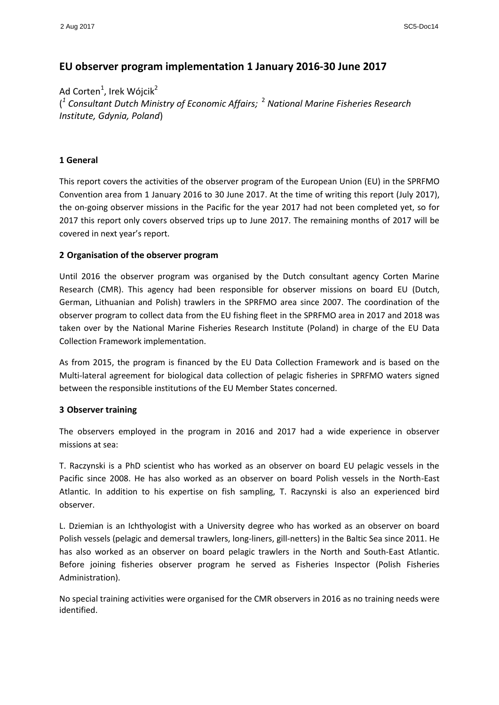# **EU observer program implementation 1 January 2016-30 June 2017**

Ad Corten<sup>1</sup>, Irek Wójcik<sup>2</sup> ( *1 Consultant Dutch Ministry of Economic Affairs;*  <sup>2</sup> *National Marine Fisheries Research Institute, Gdynia, Poland*)

#### **1 General**

This report covers the activities of the observer program of the European Union (EU) in the SPRFMO Convention area from 1 January 2016 to 30 June 2017. At the time of writing this report (July 2017), the on-going observer missions in the Pacific for the year 2017 had not been completed yet, so for 2017 this report only covers observed trips up to June 2017. The remaining months of 2017 will be covered in next year's report.

#### **2 Organisation of the observer program**

Until 2016 the observer program was organised by the Dutch consultant agency Corten Marine Research (CMR). This agency had been responsible for observer missions on board EU (Dutch, German, Lithuanian and Polish) trawlers in the SPRFMO area since 2007. The coordination of the observer program to collect data from the EU fishing fleet in the SPRFMO area in 2017 and 2018 was taken over by the National Marine Fisheries Research Institute (Poland) in charge of the EU Data Collection Framework implementation.

As from 2015, the program is financed by the EU Data Collection Framework and is based on the Multi-lateral agreement for biological data collection of pelagic fisheries in SPRFMO waters signed between the responsible institutions of the EU Member States concerned.

#### **3 Observer training**

The observers employed in the program in 2016 and 2017 had a wide experience in observer missions at sea:

T. Raczynski is a PhD scientist who has worked as an observer on board EU pelagic vessels in the Pacific since 2008. He has also worked as an observer on board Polish vessels in the North-East Atlantic. In addition to his expertise on fish sampling, T. Raczynski is also an experienced bird observer.

L. Dziemian is an Ichthyologist with a University degree who has worked as an observer on board Polish vessels (pelagic and demersal trawlers, long-liners, gill-netters) in the Baltic Sea since 2011. He has also worked as an observer on board pelagic trawlers in the North and South-East Atlantic. Before joining fisheries observer program he served as Fisheries Inspector (Polish Fisheries Administration).

No special training activities were organised for the CMR observers in 2016 as no training needs were identified.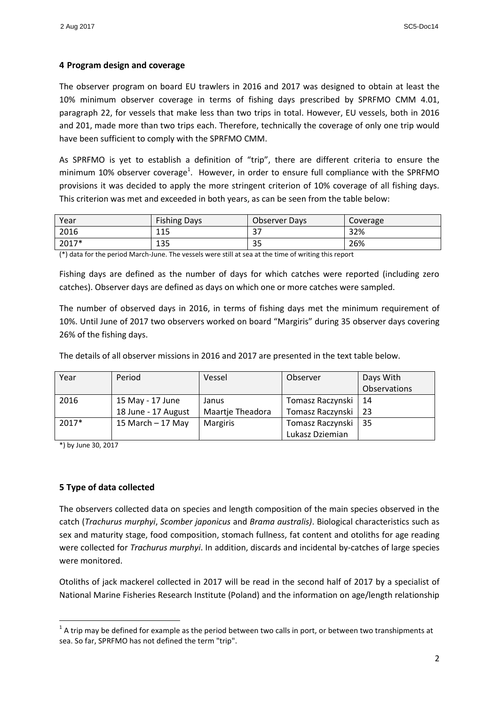# **4 Program design and coverage**

The observer program on board EU trawlers in 2016 and 2017 was designed to obtain at least the 10% minimum observer coverage in terms of fishing days prescribed by SPRFMO CMM 4.01, paragraph 22, for vessels that make less than two trips in total. However, EU vessels, both in 2016 and 201, made more than two trips each. Therefore, technically the coverage of only one trip would have been sufficient to comply with the SPRFMO CMM.

As SPRFMO is yet to establish a definition of "trip", there are different criteria to ensure the minimum 10% observer coverage<sup>1</sup>. However, in order to ensure full compliance with the SPRFMO provisions it was decided to apply the more stringent criterion of 10% coverage of all fishing days. This criterion was met and exceeded in both years, as can be seen from the table below:

| Year  | <b>Fishing Days</b> | <b>Observer Days</b> | Coverage |
|-------|---------------------|----------------------|----------|
| 2016  | 115                 | $\sim$ $\sim$<br>ر ر | 32%      |
| 2017* | 135                 | $\sim$ $\sim$<br>οэ  | 26%      |

(\*) data for the period March-June. The vessels were still at sea at the time of writing this report

Fishing days are defined as the number of days for which catches were reported (including zero catches). Observer days are defined as days on which one or more catches were sampled.

The number of observed days in 2016, in terms of fishing days met the minimum requirement of 10%. Until June of 2017 two observers worked on board "Margiris" during 35 observer days covering 26% of the fishing days.

The details of all observer missions in 2016 and 2017 are presented in the text table below.

| Year  | Period              | Vessel           | Observer         | Days With    |
|-------|---------------------|------------------|------------------|--------------|
|       |                     |                  |                  | Observations |
| 2016  | 15 May - 17 June    | Janus            | Tomasz Raczynski | 14           |
|       | 18 June - 17 August | Maartje Theadora | Tomasz Raczynski | 23           |
| 2017* | 15 March $-$ 17 May | <b>Margiris</b>  | Tomasz Raczynski | 35           |
|       |                     |                  | Lukasz Dziemian  |              |

\*) by June 30, 2017

1

# **5 Type of data collected**

The observers collected data on species and length composition of the main species observed in the catch (*Trachurus murphyi*, *Scomber japonicus* and *Brama australis)*. Biological characteristics such as sex and maturity stage, food composition, stomach fullness, fat content and otoliths for age reading were collected for *Trachurus murphyi*. In addition, discards and incidental by-catches of large species were monitored.

Otoliths of jack mackerel collected in 2017 will be read in the second half of 2017 by a specialist of National Marine Fisheries Research Institute (Poland) and the information on age/length relationship

 $1$  A trip may be defined for example as the period between two calls in port, or between two transhipments at sea. So far, SPRFMO has not defined the term "trip".